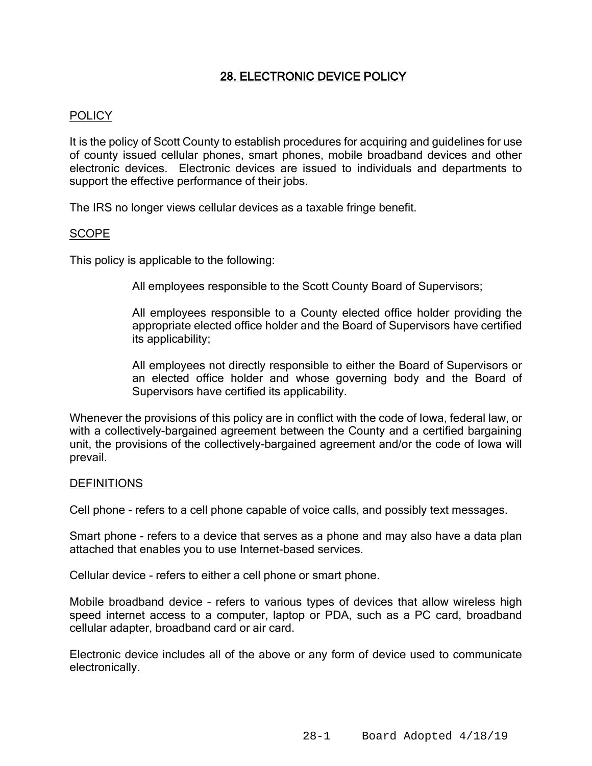# 28. ELECTRONIC DEVICE POLICY

## POLICY

It is the policy of Scott County to establish procedures for acquiring and guidelines for use of county issued cellular phones, smart phones, mobile broadband devices and other electronic devices. Electronic devices are issued to individuals and departments to support the effective performance of their jobs.

The IRS no longer views cellular devices as a taxable fringe benefit.

#### SCOPE

This policy is applicable to the following:

All employees responsible to the Scott County Board of Supervisors;

All employees responsible to a County elected office holder providing the appropriate elected office holder and the Board of Supervisors have certified its applicability;

All employees not directly responsible to either the Board of Supervisors or an elected office holder and whose governing body and the Board of Supervisors have certified its applicability.

Whenever the provisions of this policy are in conflict with the code of Iowa, federal law, or with a collectively-bargained agreement between the County and a certified bargaining unit, the provisions of the collectively-bargained agreement and/or the code of Iowa will prevail.

#### DEFINITIONS

Cell phone - refers to a cell phone capable of voice calls, and possibly text messages.

Smart phone - refers to a device that serves as a phone and may also have a data plan attached that enables you to use Internet-based services.

Cellular device - refers to either a cell phone or smart phone.

Mobile broadband device – refers to various types of devices that allow wireless high speed internet access to a computer, laptop or PDA, such as a PC card, broadband cellular adapter, broadband card or air card.

Electronic device includes all of the above or any form of device used to communicate electronically.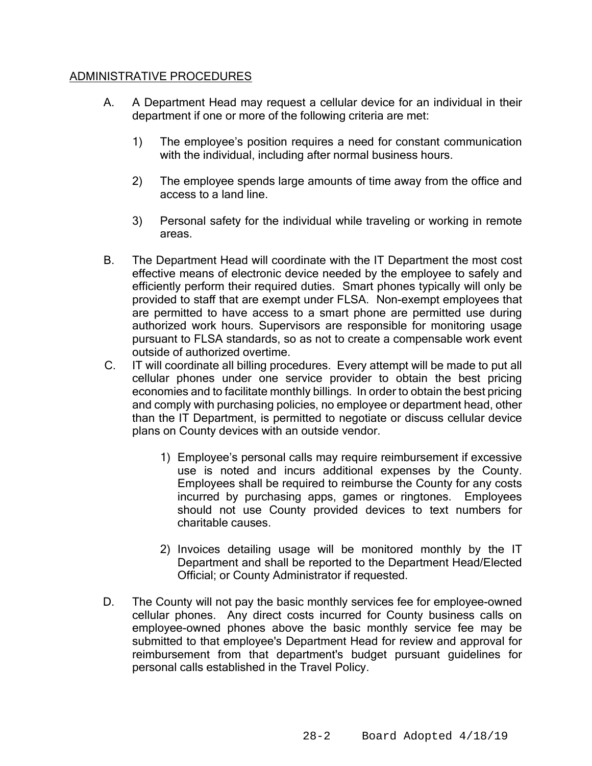## ADMINISTRATIVE PROCEDURES

- A. A Department Head may request a cellular device for an individual in their department if one or more of the following criteria are met:
	- 1) The employee's position requires a need for constant communication with the individual, including after normal business hours.
	- 2) The employee spends large amounts of time away from the office and access to a land line.
	- 3) Personal safety for the individual while traveling or working in remote areas.
- B. The Department Head will coordinate with the IT Department the most cost effective means of electronic device needed by the employee to safely and efficiently perform their required duties. Smart phones typically will only be provided to staff that are exempt under FLSA. Non-exempt employees that are permitted to have access to a smart phone are permitted use during authorized work hours. Supervisors are responsible for monitoring usage pursuant to FLSA standards, so as not to create a compensable work event outside of authorized overtime.
- C. IT will coordinate all billing procedures. Every attempt will be made to put all cellular phones under one service provider to obtain the best pricing economies and to facilitate monthly billings. In order to obtain the best pricing and comply with purchasing policies, no employee or department head, other than the IT Department, is permitted to negotiate or discuss cellular device plans on County devices with an outside vendor.
	- 1) Employee's personal calls may require reimbursement if excessive use is noted and incurs additional expenses by the County. Employees shall be required to reimburse the County for any costs incurred by purchasing apps, games or ringtones. Employees should not use County provided devices to text numbers for charitable causes.
	- 2) Invoices detailing usage will be monitored monthly by the IT Department and shall be reported to the Department Head/Elected Official; or County Administrator if requested.
- D. The County will not pay the basic monthly services fee for employee-owned cellular phones. Any direct costs incurred for County business calls on employee-owned phones above the basic monthly service fee may be submitted to that employee's Department Head for review and approval for reimbursement from that department's budget pursuant guidelines for personal calls established in the Travel Policy.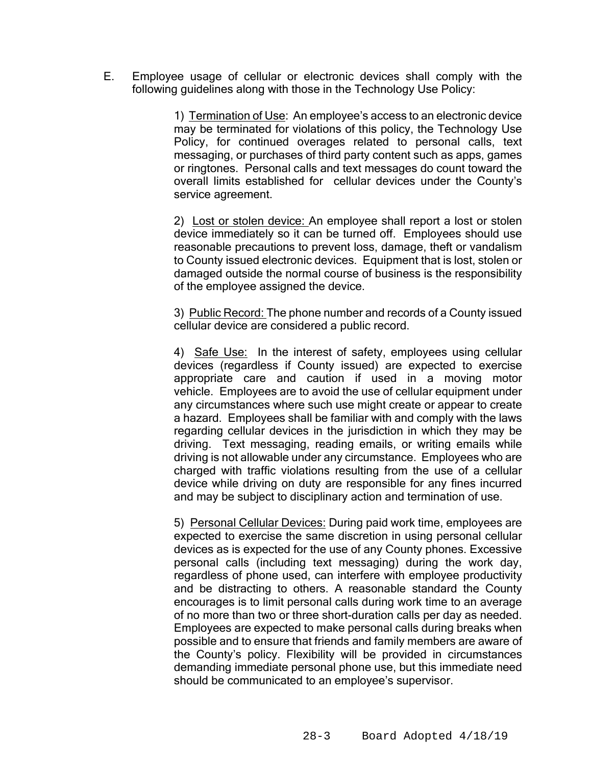E. Employee usage of cellular or electronic devices shall comply with the following guidelines along with those in the Technology Use Policy:

> 1) Termination of Use: An employee's access to an electronic device may be terminated for violations of this policy, the Technology Use Policy, for continued overages related to personal calls, text messaging, or purchases of third party content such as apps, games or ringtones. Personal calls and text messages do count toward the overall limits established for cellular devices under the County's service agreement.

> 2) Lost or stolen device: An employee shall report a lost or stolen device immediately so it can be turned off. Employees should use reasonable precautions to prevent loss, damage, theft or vandalism to County issued electronic devices. Equipment that is lost, stolen or damaged outside the normal course of business is the responsibility of the employee assigned the device.

> 3) Public Record: The phone number and records of a County issued cellular device are considered a public record.

> 4) Safe Use: In the interest of safety, employees using cellular devices (regardless if County issued) are expected to exercise appropriate care and caution if used in a moving motor vehicle. Employees are to avoid the use of cellular equipment under any circumstances where such use might create or appear to create a hazard. Employees shall be familiar with and comply with the laws regarding cellular devices in the jurisdiction in which they may be driving. Text messaging, reading emails, or writing emails while driving is not allowable under any circumstance. Employees who are charged with traffic violations resulting from the use of a cellular device while driving on duty are responsible for any fines incurred and may be subject to disciplinary action and termination of use.

> 5) Personal Cellular Devices: During paid work time, employees are expected to exercise the same discretion in using personal cellular devices as is expected for the use of any County phones. Excessive personal calls (including text messaging) during the work day, regardless of phone used, can interfere with employee productivity and be distracting to others. A reasonable standard the County encourages is to limit personal calls during work time to an average of no more than two or three short-duration calls per day as needed. Employees are expected to make personal calls during breaks when possible and to ensure that friends and family members are aware of the County's policy. Flexibility will be provided in circumstances demanding immediate personal phone use, but this immediate need should be communicated to an employee's supervisor.